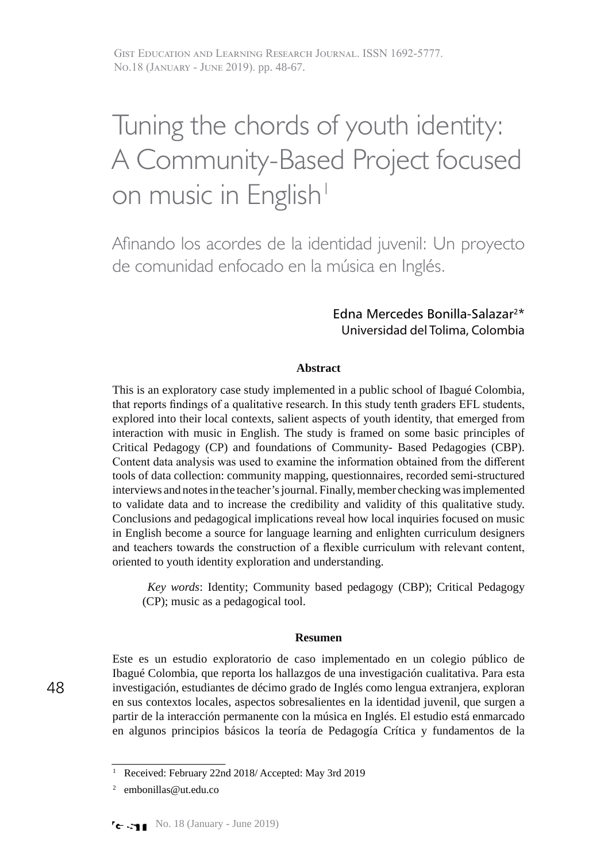Gist Education and Learning Research Journal. ISSN 1692-5777. No.18 (January - June 2019). pp. 48-67.

# Tuning the chords of youth identity: A Community-Based Project focused on music in English<sup>1</sup>

Afinando los acordes de la identidad juvenil: Un proyecto de comunidad enfocado en la música en Inglés.

### Edna Mercedes Bonilla-Salazar2\* Universidad del Tolima, Colombia

### **Abstract**

This is an exploratory case study implemented in a public school of Ibagué Colombia, that reports findings of a qualitative research. In this study tenth graders EFL students, explored into their local contexts, salient aspects of youth identity, that emerged from interaction with music in English. The study is framed on some basic principles of Critical Pedagogy (CP) and foundations of Community- Based Pedagogies (CBP). Content data analysis was used to examine the information obtained from the different tools of data collection: community mapping, questionnaires, recorded semi-structured interviews and notes in the teacher's journal. Finally, member checking was implemented to validate data and to increase the credibility and validity of this qualitative study. Conclusions and pedagogical implications reveal how local inquiries focused on music in English become a source for language learning and enlighten curriculum designers and teachers towards the construction of a flexible curriculum with relevant content, oriented to youth identity exploration and understanding.

*Key words*: Identity; Community based pedagogy (CBP); Critical Pedagogy (CP); music as a pedagogical tool.

#### **Resumen**

Este es un estudio exploratorio de caso implementado en un colegio público de Ibagué Colombia, que reporta los hallazgos de una investigación cualitativa. Para esta investigación, estudiantes de décimo grado de Inglés como lengua extranjera, exploran en sus contextos locales, aspectos sobresalientes en la identidad juvenil, que surgen a partir de la interacción permanente con la música en Inglés. El estudio está enmarcado en algunos principios básicos la teoría de Pedagogía Crítica y fundamentos de la

<sup>1</sup> Received: February 22nd 2018/ Accepted: May 3rd 2019

embonillas@ut.edu.co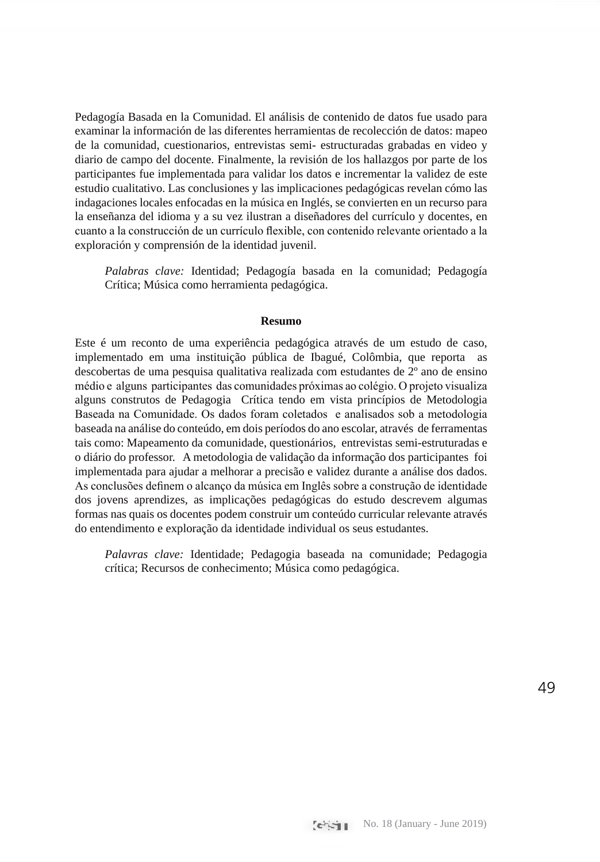Pedagogía Basada en la Comunidad. El análisis de contenido de datos fue usado para examinar la información de las diferentes herramientas de recolección de datos: mapeo de la comunidad, cuestionarios, entrevistas semi- estructuradas grabadas en video y diario de campo del docente. Finalmente, la revisión de los hallazgos por parte de los participantes fue implementada para validar los datos e incrementar la validez de este estudio cualitativo. Las conclusiones y las implicaciones pedagógicas revelan cómo las indagaciones locales enfocadas en la música en Inglés, se convierten en un recurso para la enseñanza del idioma y a su vez ilustran a diseñadores del currículo y docentes, en cuanto a la construcción de un currículo flexible, con contenido relevante orientado a la exploración y comprensión de la identidad juvenil.

*Palabras clave:* Identidad; Pedagogía basada en la comunidad; Pedagogía Crítica; Música como herramienta pedagógica.

#### **Resumo**

Este é um reconto de uma experiência pedagógica através de um estudo de caso, implementado em uma instituição pública de Ibagué, Colômbia, que reporta as descobertas de uma pesquisa qualitativa realizada com estudantes de 2º ano de ensino médio e alguns participantes das comunidades próximas ao colégio. O projeto visualiza alguns construtos de Pedagogia Crítica tendo em vista princípios de Metodologia Baseada na Comunidade. Os dados foram coletados e analisados sob a metodologia baseada na análise do conteúdo, em dois períodos do ano escolar, através de ferramentas tais como: Mapeamento da comunidade, questionários, entrevistas semi-estruturadas e o diário do professor. A metodologia de validação da informação dos participantes foi implementada para ajudar a melhorar a precisão e validez durante a análise dos dados. As conclusões definem o alcanço da música em Inglês sobre a construção de identidade dos jovens aprendizes, as implicações pedagógicas do estudo descrevem algumas formas nas quais os docentes podem construir um conteúdo curricular relevante através do entendimento e exploração da identidade individual os seus estudantes.

*Palavras clave:* Identidade; Pedagogia baseada na comunidade; Pedagogia crítica; Recursos de conhecimento; Música como pedagógica.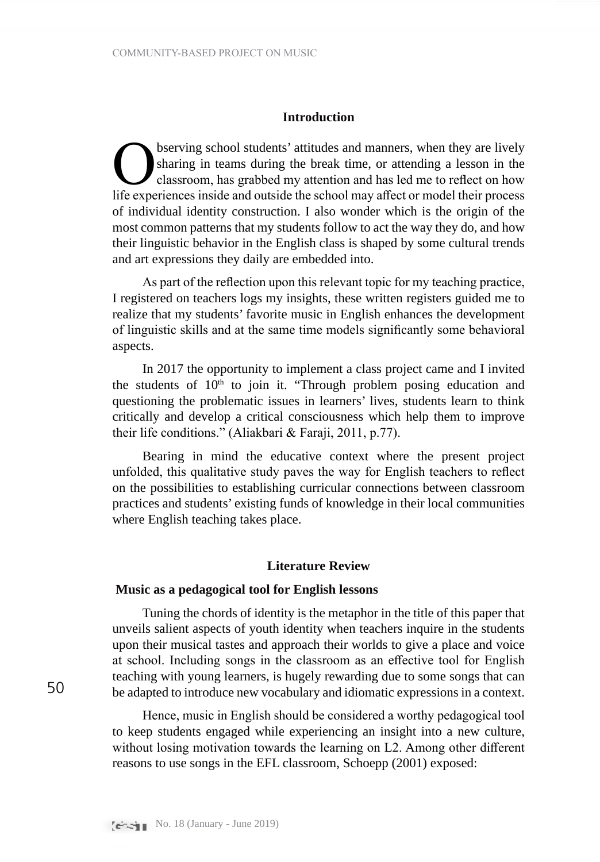### **Introduction**

**O**bserving school students' attitudes and manners, when they are lively sharing in teams during the break time, or attending a lesson in the classroom, has grabbed my attention and has led me to reflect on how life experi sharing in teams during the break time, or attending a lesson in the classroom, has grabbed my attention and has led me to reflect on how life experiences inside and outside the school may affect or model their process of individual identity construction. I also wonder which is the origin of the most common patterns that my students follow to act the way they do, and how their linguistic behavior in the English class is shaped by some cultural trends and art expressions they daily are embedded into.

As part of the reflection upon this relevant topic for my teaching practice, I registered on teachers logs my insights, these written registers guided me to realize that my students' favorite music in English enhances the development of linguistic skills and at the same time models significantly some behavioral aspects.

In 2017 the opportunity to implement a class project came and I invited the students of  $10<sup>th</sup>$  to join it. "Through problem posing education and questioning the problematic issues in learners' lives, students learn to think critically and develop a critical consciousness which help them to improve their life conditions." (Aliakbari & Faraji, 2011, p.77).

Bearing in mind the educative context where the present project unfolded, this qualitative study paves the way for English teachers to reflect on the possibilities to establishing curricular connections between classroom practices and students' existing funds of knowledge in their local communities where English teaching takes place.

### **Literature Review**

#### **Music as a pedagogical tool for English lessons**

Tuning the chords of identity is the metaphor in the title of this paper that unveils salient aspects of youth identity when teachers inquire in the students upon their musical tastes and approach their worlds to give a place and voice at school. Including songs in the classroom as an effective tool for English teaching with young learners, is hugely rewarding due to some songs that can be adapted to introduce new vocabulary and idiomatic expressions in a context.

Hence, music in English should be considered a worthy pedagogical tool to keep students engaged while experiencing an insight into a new culture, without losing motivation towards the learning on L2. Among other different reasons to use songs in the EFL classroom, Schoepp (2001) exposed: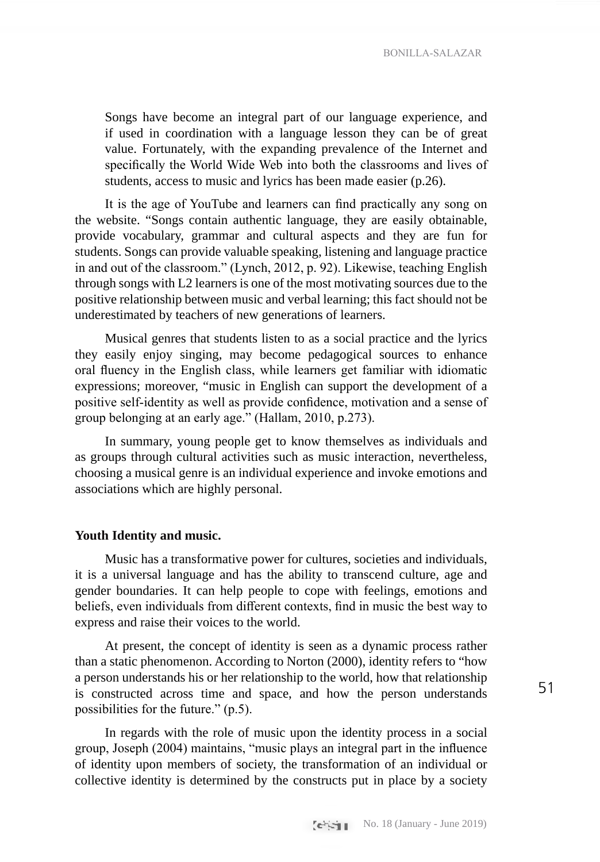Songs have become an integral part of our language experience, and if used in coordination with a language lesson they can be of great value. Fortunately, with the expanding prevalence of the Internet and specifically the World Wide Web into both the classrooms and lives of students, access to music and lyrics has been made easier (p.26).

It is the age of YouTube and learners can find practically any song on the website. "Songs contain authentic language, they are easily obtainable, provide vocabulary, grammar and cultural aspects and they are fun for students. Songs can provide valuable speaking, listening and language practice in and out of the classroom." (Lynch, 2012, p. 92). Likewise, teaching English through songs with L2 learners is one of the most motivating sources due to the positive relationship between music and verbal learning; this fact should not be underestimated by teachers of new generations of learners.

Musical genres that students listen to as a social practice and the lyrics they easily enjoy singing, may become pedagogical sources to enhance oral fluency in the English class, while learners get familiar with idiomatic expressions; moreover, "music in English can support the development of a positive self-identity as well as provide confidence, motivation and a sense of group belonging at an early age." (Hallam, 2010, p.273).

In summary, young people get to know themselves as individuals and as groups through cultural activities such as music interaction, nevertheless, choosing a musical genre is an individual experience and invoke emotions and associations which are highly personal.

### **Youth Identity and music.**

Music has a transformative power for cultures, societies and individuals, it is a universal language and has the ability to transcend culture, age and gender boundaries. It can help people to cope with feelings, emotions and beliefs, even individuals from different contexts, find in music the best way to express and raise their voices to the world.

At present, the concept of identity is seen as a dynamic process rather than a static phenomenon. According to Norton (2000), identity refers to "how a person understands his or her relationship to the world, how that relationship is constructed across time and space, and how the person understands possibilities for the future." (p.5).

In regards with the role of music upon the identity process in a social group, Joseph (2004) maintains, "music plays an integral part in the influence of identity upon members of society, the transformation of an individual or collective identity is determined by the constructs put in place by a society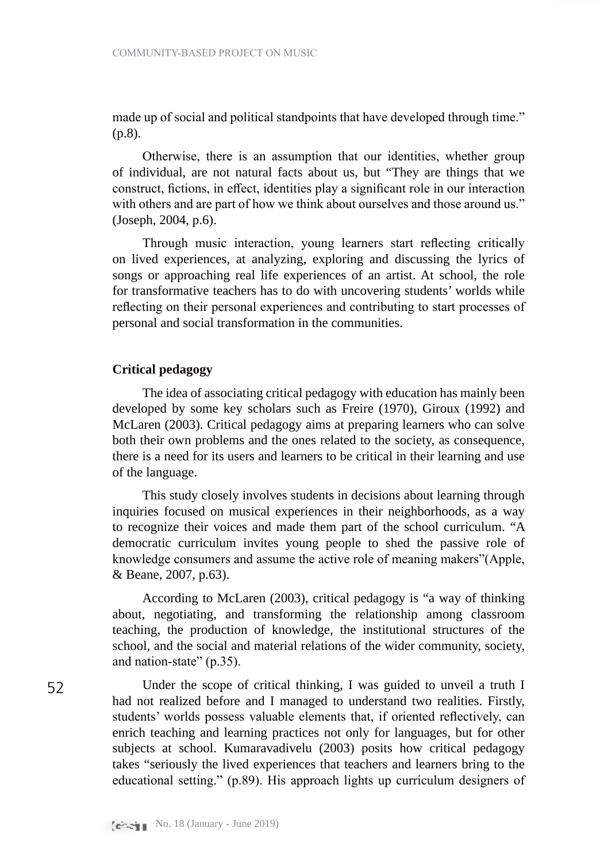made up of social and political standpoints that have developed through time." (p.8).

Otherwise, there is an assumption that our identities, whether group of individual, are not natural facts about us, but "They are things that we construct, fictions, in effect, identities play a significant role in our interaction with others and are part of how we think about ourselves and those around us." (Joseph, 2004, p.6).

Through music interaction, young learners start reflecting critically on lived experiences, at analyzing, exploring and discussing the lyrics of songs or approaching real life experiences of an artist. At school, the role for transformative teachers has to do with uncovering students' worlds while reflecting on their personal experiences and contributing to start processes of personal and social transformation in the communities.

### **Critical pedagogy**

The idea of associating critical pedagogy with education has mainly been developed by some key scholars such as Freire (1970), Giroux (1992) and McLaren (2003). Critical pedagogy aims at preparing learners who can solve both their own problems and the ones related to the society, as consequence, there is a need for its users and learners to be critical in their learning and use of the language.

This study closely involves students in decisions about learning through inquiries focused on musical experiences in their neighborhoods, as a way to recognize their voices and made them part of the school curriculum. "A democratic curriculum invites young people to shed the passive role of knowledge consumers and assume the active role of meaning makers"(Apple, & Beane, 2007, p.63).

According to McLaren (2003), critical pedagogy is "a way of thinking about, negotiating, and transforming the relationship among classroom teaching, the production of knowledge, the institutional structures of the school, and the social and material relations of the wider community, society, and nation-state" (p.35).

Under the scope of critical thinking, I was guided to unveil a truth I had not realized before and I managed to understand two realities. Firstly, students' worlds possess valuable elements that, if oriented reflectively, can enrich teaching and learning practices not only for languages, but for other subjects at school. Kumaravadivelu (2003) posits how critical pedagogy takes "seriously the lived experiences that teachers and learners bring to the educational setting." (p.89). His approach lights up curriculum designers of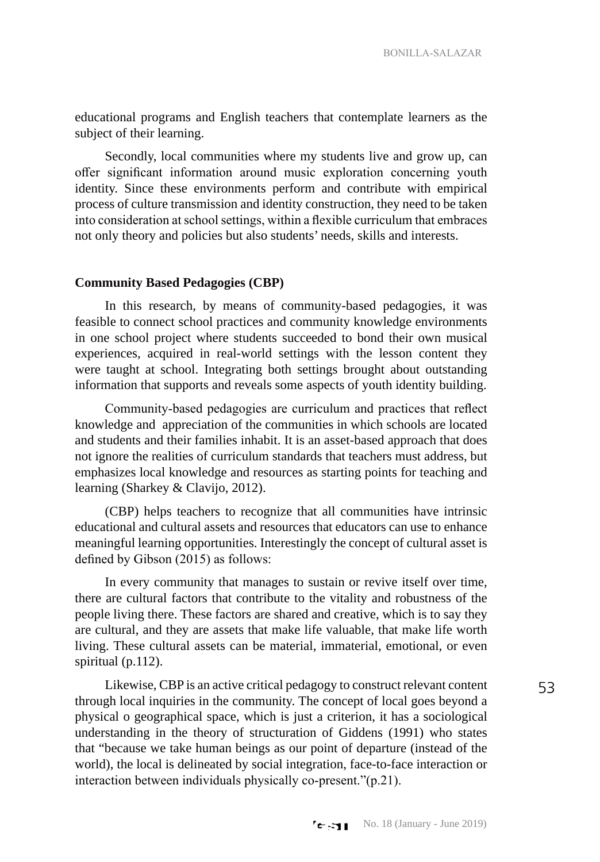educational programs and English teachers that contemplate learners as the subject of their learning.

Secondly, local communities where my students live and grow up, can offer significant information around music exploration concerning youth identity. Since these environments perform and contribute with empirical process of culture transmission and identity construction, they need to be taken into consideration at school settings, within a flexible curriculum that embraces not only theory and policies but also students' needs, skills and interests.

### **Community Based Pedagogies (CBP)**

In this research, by means of community-based pedagogies, it was feasible to connect school practices and community knowledge environments in one school project where students succeeded to bond their own musical experiences, acquired in real-world settings with the lesson content they were taught at school. Integrating both settings brought about outstanding information that supports and reveals some aspects of youth identity building.

Community-based pedagogies are curriculum and practices that reflect knowledge and appreciation of the communities in which schools are located and students and their families inhabit. It is an asset-based approach that does not ignore the realities of curriculum standards that teachers must address, but emphasizes local knowledge and resources as starting points for teaching and learning (Sharkey & Clavijo, 2012).

(CBP) helps teachers to recognize that all communities have intrinsic educational and cultural assets and resources that educators can use to enhance meaningful learning opportunities. Interestingly the concept of cultural asset is defined by Gibson (2015) as follows:

In every community that manages to sustain or revive itself over time, there are cultural factors that contribute to the vitality and robustness of the people living there. These factors are shared and creative, which is to say they are cultural, and they are assets that make life valuable, that make life worth living. These cultural assets can be material, immaterial, emotional, or even spiritual (p.112).

Likewise, CBP is an active critical pedagogy to construct relevant content through local inquiries in the community. The concept of local goes beyond a physical o geographical space, which is just a criterion, it has a sociological understanding in the theory of structuration of Giddens (1991) who states that "because we take human beings as our point of departure (instead of the world), the local is delineated by social integration, face-to-face interaction or interaction between individuals physically co-present."(p.21).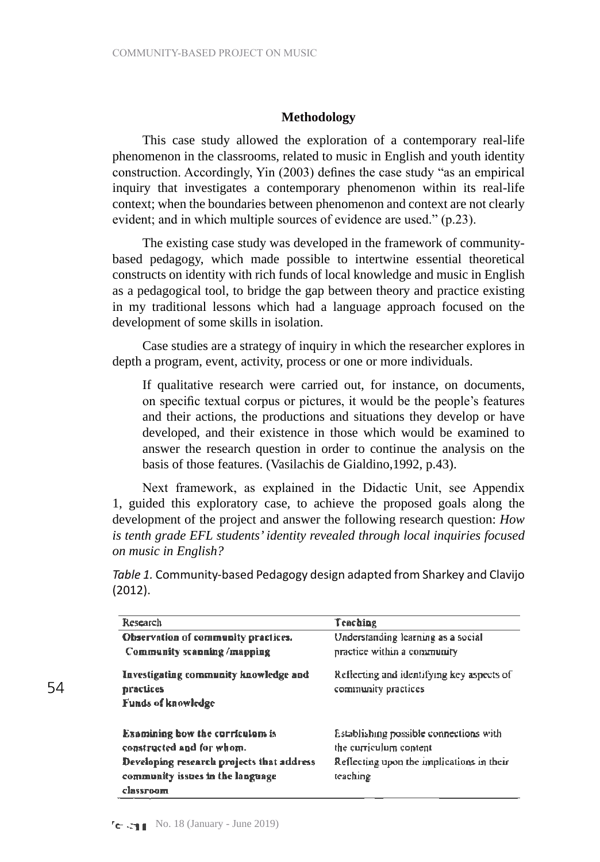### **Methodology**

This case study allowed the exploration of a contemporary real-life phenomenon in the classrooms, related to music in English and youth identity construction. Accordingly, Yin (2003) defines the case study "as an empirical inquiry that investigates a contemporary phenomenon within its real-life context; when the boundaries between phenomenon and context are not clearly evident; and in which multiple sources of evidence are used." (p.23).

The existing case study was developed in the framework of communitybased pedagogy, which made possible to intertwine essential theoretical constructs on identity with rich funds of local knowledge and music in English as a pedagogical tool, to bridge the gap between theory and practice existing in my traditional lessons which had a language approach focused on the development of some skills in isolation.

Case studies are a strategy of inquiry in which the researcher explores in depth a program, event, activity, process or one or more individuals.

If qualitative research were carried out, for instance, on documents, on specific textual corpus or pictures, it would be the people's features and their actions, the productions and situations they develop or have developed, and their existence in those which would be examined to answer the research question in order to continue the analysis on the basis of those features. (Vasilachis de Gialdino,1992, p.43).

Next framework, as explained in the Didactic Unit, see Appendix 1, guided this exploratory case, to achieve the proposed goals along the development of the project and answer the following research question: *How is tenth grade EFL students' identity revealed through local inquiries focused on music in English?* 

*Table 1.* Community-based Pedagogy design adapted from Sharkey and Clavijo (2012).

| Research                                                                                                                                                          | Teaching                                                                                                                  |
|-------------------------------------------------------------------------------------------------------------------------------------------------------------------|---------------------------------------------------------------------------------------------------------------------------|
| Observation of community practices.<br>Community scanning /mapping                                                                                                | Understanding learning as a social<br>practice within a community                                                         |
| Investigating community knowledge and<br>practices<br>Funds of knowledge                                                                                          | Reflecting and identifying key aspects of<br>community practices                                                          |
| <b>Examining bow the corriculom is</b><br>constructed and for whom.<br>Developing research projects that address<br>community issues in the language<br>classroom | Establishing possible connections with<br>the curriculum content<br>Reflecting upon the unplications in their<br>teaching |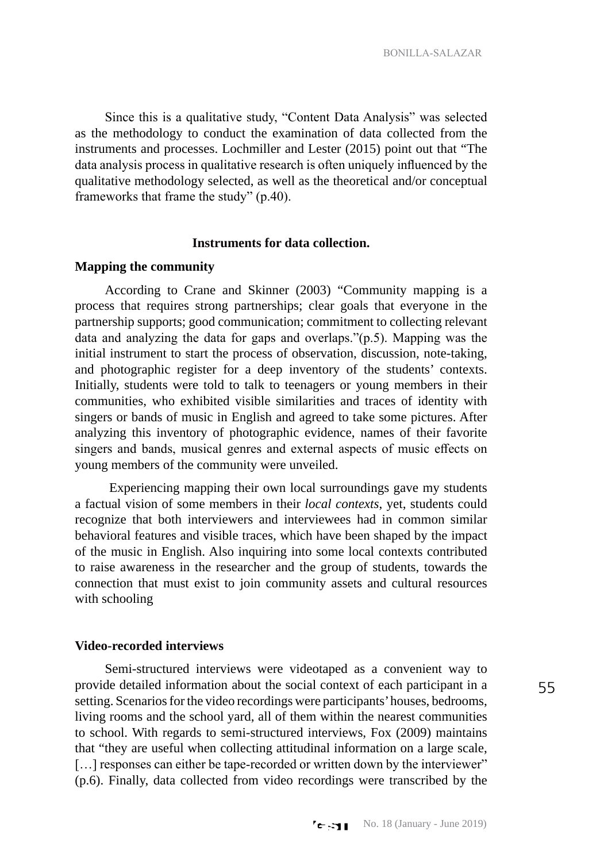Since this is a qualitative study, "Content Data Analysis" was selected as the methodology to conduct the examination of data collected from the instruments and processes. Lochmiller and Lester (2015) point out that "The data analysis process in qualitative research is often uniquely influenced by the qualitative methodology selected, as well as the theoretical and/or conceptual frameworks that frame the study" (p.40).

### **Instruments for data collection.**

### **Mapping the community**

According to Crane and Skinner (2003) "Community mapping is a process that requires strong partnerships; clear goals that everyone in the partnership supports; good communication; commitment to collecting relevant data and analyzing the data for gaps and overlaps."(p.5). Mapping was the initial instrument to start the process of observation, discussion, note-taking, and photographic register for a deep inventory of the students' contexts. Initially, students were told to talk to teenagers or young members in their communities, who exhibited visible similarities and traces of identity with singers or bands of music in English and agreed to take some pictures. After analyzing this inventory of photographic evidence, names of their favorite singers and bands, musical genres and external aspects of music effects on young members of the community were unveiled.

 Experiencing mapping their own local surroundings gave my students a factual vision of some members in their *local contexts*, yet, students could recognize that both interviewers and interviewees had in common similar behavioral features and visible traces, which have been shaped by the impact of the music in English. Also inquiring into some local contexts contributed to raise awareness in the researcher and the group of students, towards the connection that must exist to join community assets and cultural resources with schooling

### **Video-recorded interviews**

Semi-structured interviews were videotaped as a convenient way to provide detailed information about the social context of each participant in a setting. Scenarios for the video recordings were participants' houses, bedrooms, living rooms and the school yard, all of them within the nearest communities to school. With regards to semi-structured interviews, Fox (2009) maintains that "they are useful when collecting attitudinal information on a large scale, [...] responses can either be tape-recorded or written down by the interviewer" (p.6). Finally, data collected from video recordings were transcribed by the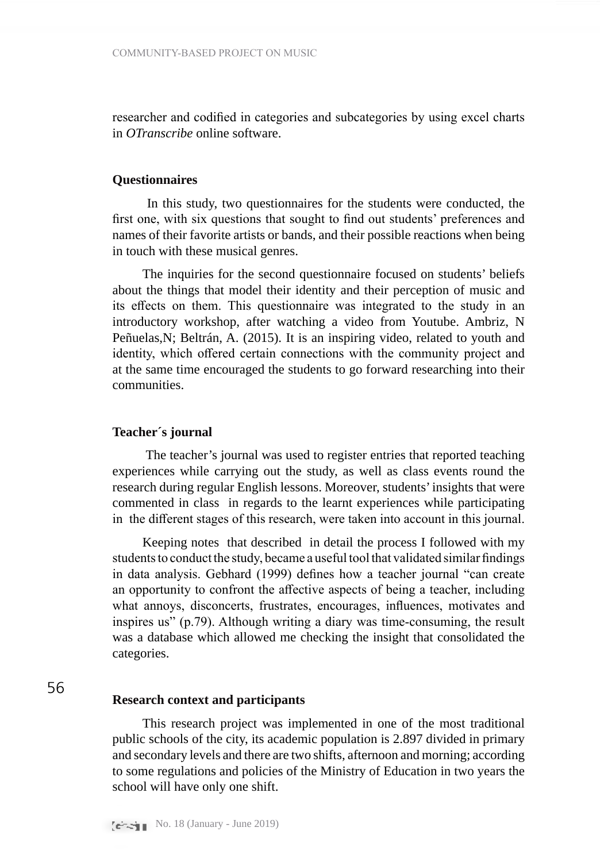researcher and codified in categories and subcategories by using excel charts in *OTranscribe* online software.

### **Questionnaires**

 In this study, two questionnaires for the students were conducted, the first one, with six questions that sought to find out students' preferences and names of their favorite artists or bands, and their possible reactions when being in touch with these musical genres.

The inquiries for the second questionnaire focused on students' beliefs about the things that model their identity and their perception of music and its effects on them. This questionnaire was integrated to the study in an introductory workshop, after watching a video from Youtube. Ambriz, N Peñuelas,N; Beltrán, A. (2015). It is an inspiring video, related to youth and identity, which offered certain connections with the community project and at the same time encouraged the students to go forward researching into their communities.

### **Teacher´s journal**

 The teacher's journal was used to register entries that reported teaching experiences while carrying out the study, as well as class events round the research during regular English lessons. Moreover, students' insights that were commented in class in regards to the learnt experiences while participating in the different stages of this research, were taken into account in this journal.

Keeping notes that described in detail the process I followed with my students to conduct the study, became a useful tool that validated similar findings in data analysis. Gebhard (1999) defines how a teacher journal "can create an opportunity to confront the affective aspects of being a teacher, including what annoys, disconcerts, frustrates, encourages, influences, motivates and inspires us" (p.79). Although writing a diary was time-consuming, the result was a database which allowed me checking the insight that consolidated the categories.

## 56

### **Research context and participants**

This research project was implemented in one of the most traditional public schools of the city, its academic population is 2.897 divided in primary and secondary levels and there are two shifts, afternoon and morning; according to some regulations and policies of the Ministry of Education in two years the school will have only one shift.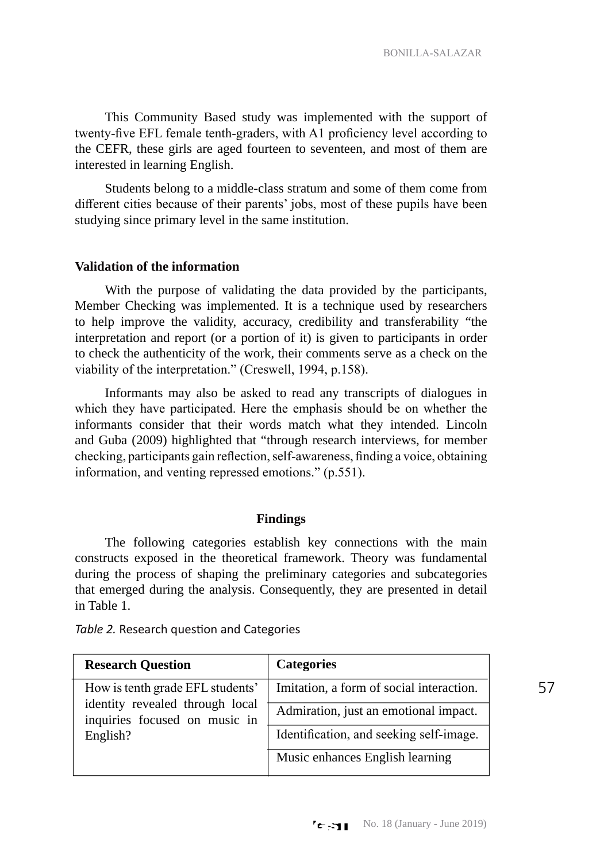This Community Based study was implemented with the support of twenty-five EFL female tenth-graders, with A1 proficiency level according to the CEFR, these girls are aged fourteen to seventeen, and most of them are interested in learning English.

Students belong to a middle-class stratum and some of them come from different cities because of their parents' jobs, most of these pupils have been studying since primary level in the same institution.

### **Validation of the information**

With the purpose of validating the data provided by the participants, Member Checking was implemented. It is a technique used by researchers to help improve the validity, accuracy, credibility and transferability "the interpretation and report (or a portion of it) is given to participants in order to check the authenticity of the work, their comments serve as a check on the viability of the interpretation." (Creswell, 1994, p.158).

Informants may also be asked to read any transcripts of dialogues in which they have participated. Here the emphasis should be on whether the informants consider that their words match what they intended. Lincoln and Guba (2009) highlighted that "through research interviews, for member checking, participants gain reflection, self-awareness, finding a voice, obtaining information, and venting repressed emotions." (p.551).

#### **Findings**

The following categories establish key connections with the main constructs exposed in the theoretical framework. Theory was fundamental during the process of shaping the preliminary categories and subcategories that emerged during the analysis. Consequently, they are presented in detail in Table 1.

| <b>Research Question</b>                                                                                         | <b>Categories</b>                        |
|------------------------------------------------------------------------------------------------------------------|------------------------------------------|
| How is tenth grade EFL students'<br>identity revealed through local<br>inquiries focused on music in<br>English? | Imitation, a form of social interaction. |
|                                                                                                                  | Admiration, just an emotional impact.    |
|                                                                                                                  | Identification, and seeking self-image.  |
|                                                                                                                  | Music enhances English learning          |

*Table 2.* Research question and Categories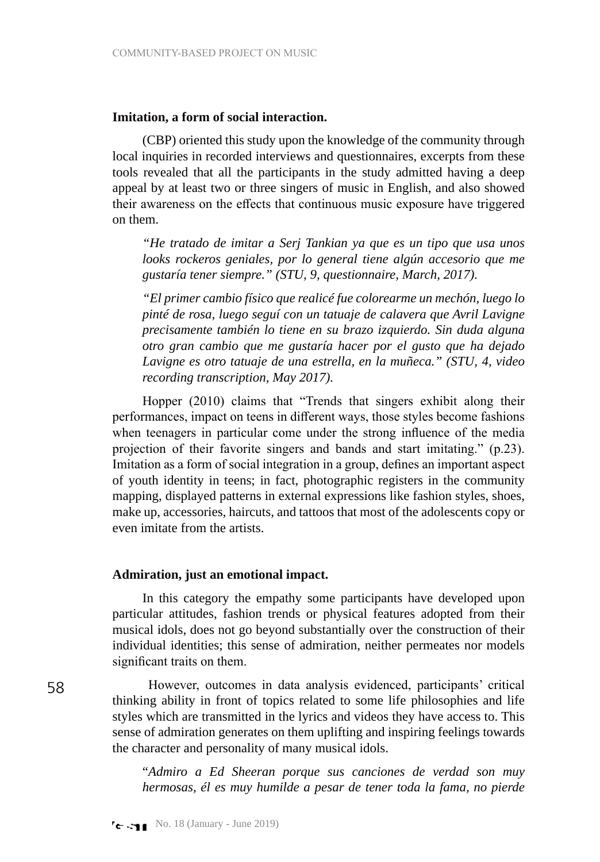### **Imitation, a form of social interaction.**

(CBP) oriented this study upon the knowledge of the community through local inquiries in recorded interviews and questionnaires, excerpts from these tools revealed that all the participants in the study admitted having a deep appeal by at least two or three singers of music in English, and also showed their awareness on the effects that continuous music exposure have triggered on them.

*"He tratado de imitar a Serj Tankian ya que es un tipo que usa unos looks rockeros geniales, por lo general tiene algún accesorio que me gustaría tener siempre." (STU, 9, questionnaire, March, 2017).*

*"El primer cambio físico que realicé fue colorearme un mechón, luego lo pinté de rosa, luego seguí con un tatuaje de calavera que Avril Lavigne precisamente también lo tiene en su brazo izquierdo. Sin duda alguna otro gran cambio que me gustaría hacer por el gusto que ha dejado Lavigne es otro tatuaje de una estrella, en la muñeca." (STU, 4, video recording transcription, May 2017).*

Hopper (2010) claims that "Trends that singers exhibit along their performances, impact on teens in different ways, those styles become fashions when teenagers in particular come under the strong influence of the media projection of their favorite singers and bands and start imitating." (p.23). Imitation as a form of social integration in a group, defines an important aspect of youth identity in teens; in fact, photographic registers in the community mapping, displayed patterns in external expressions like fashion styles, shoes, make up, accessories, haircuts, and tattoos that most of the adolescents copy or even imitate from the artists.

### **Admiration, just an emotional impact.**

In this category the empathy some participants have developed upon particular attitudes, fashion trends or physical features adopted from their musical idols, does not go beyond substantially over the construction of their individual identities; this sense of admiration, neither permeates nor models significant traits on them.

 However, outcomes in data analysis evidenced, participants' critical thinking ability in front of topics related to some life philosophies and life styles which are transmitted in the lyrics and videos they have access to. This sense of admiration generates on them uplifting and inspiring feelings towards the character and personality of many musical idols.

"*Admiro a Ed Sheeran porque sus canciones de verdad son muy hermosas, él es muy humilde a pesar de tener toda la fama, no pierde*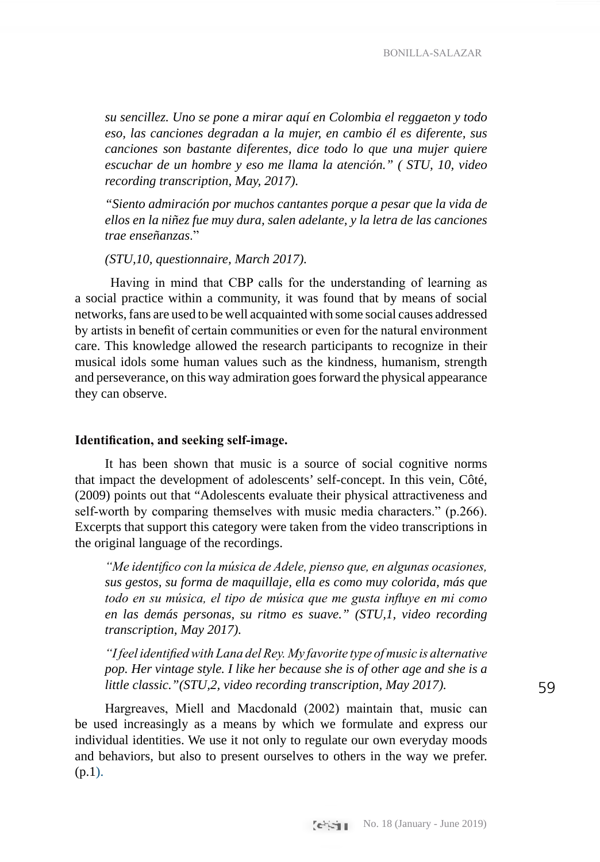*su sencillez. Uno se pone a mirar aquí en Colombia el reggaeton y todo eso, las canciones degradan a la mujer, en cambio él es diferente, sus canciones son bastante diferentes, dice todo lo que una mujer quiere escuchar de un hombre y eso me llama la atención." ( STU, 10, video recording transcription, May, 2017).* 

*"Siento admiración por muchos cantantes porque a pesar que la vida de ellos en la niñez fue muy dura, salen adelante, y la letra de las canciones trae enseñanzas*."

*(STU,10, questionnaire, March 2017).*

 Having in mind that CBP calls for the understanding of learning as a social practice within a community, it was found that by means of social networks, fans are used to be well acquainted with some social causes addressed by artists in benefit of certain communities or even for the natural environment care. This knowledge allowed the research participants to recognize in their musical idols some human values such as the kindness, humanism, strength and perseverance, on this way admiration goes forward the physical appearance they can observe.

### **Identification, and seeking self-image.**

It has been shown that music is a source of social cognitive norms that impact the development of adolescents' self-concept. In this vein, Côté, (2009) points out that "Adolescents evaluate their physical attractiveness and self-worth by comparing themselves with music media characters." (p.266). Excerpts that support this category were taken from the video transcriptions in the original language of the recordings.

*"Me identifico con la música de Adele, pienso que, en algunas ocasiones, sus gestos, su forma de maquillaje, ella es como muy colorida, más que todo en su música, el tipo de música que me gusta influye en mi como en las demás personas, su ritmo es suave." (STU,1, video recording transcription, May 2017).*

*"I feel identified with Lana del Rey. My favorite type of music is alternative pop. Her vintage style. I like her because she is of other age and she is a little classic."(STU,2, video recording transcription, May 2017).*

Hargreaves, Miell and Macdonald (2002) maintain that, music can be used increasingly as a means by which we formulate and express our individual identities. We use it not only to regulate our own everyday moods and behaviors, but also to present ourselves to others in the way we prefer. (p.1).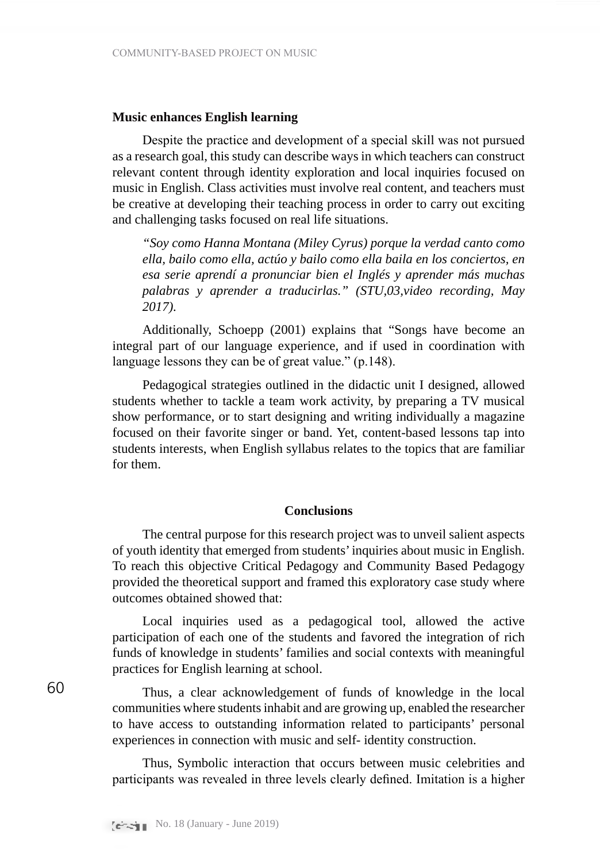### **Music enhances English learning**

Despite the practice and development of a special skill was not pursued as a research goal, this study can describe ways in which teachers can construct relevant content through identity exploration and local inquiries focused on music in English. Class activities must involve real content, and teachers must be creative at developing their teaching process in order to carry out exciting and challenging tasks focused on real life situations.

*"Soy como Hanna Montana (Miley Cyrus) porque la verdad canto como ella, bailo como ella, actúo y bailo como ella baila en los conciertos, en esa serie aprendí a pronunciar bien el Inglés y aprender más muchas palabras y aprender a traducirlas." (STU,03,video recording, May 2017).*

Additionally, Schoepp (2001) explains that "Songs have become an integral part of our language experience, and if used in coordination with language lessons they can be of great value." (p.148).

Pedagogical strategies outlined in the didactic unit I designed, allowed students whether to tackle a team work activity, by preparing a TV musical show performance, or to start designing and writing individually a magazine focused on their favorite singer or band. Yet, content-based lessons tap into students interests, when English syllabus relates to the topics that are familiar for them.

### **Conclusions**

The central purpose for this research project was to unveil salient aspects of youth identity that emerged from students' inquiries about music in English. To reach this objective Critical Pedagogy and Community Based Pedagogy provided the theoretical support and framed this exploratory case study where outcomes obtained showed that:

Local inquiries used as a pedagogical tool, allowed the active participation of each one of the students and favored the integration of rich funds of knowledge in students' families and social contexts with meaningful practices for English learning at school.

Thus, a clear acknowledgement of funds of knowledge in the local communities where students inhabit and are growing up, enabled the researcher to have access to outstanding information related to participants' personal experiences in connection with music and self- identity construction.

Thus, Symbolic interaction that occurs between music celebrities and participants was revealed in three levels clearly defined. Imitation is a higher

60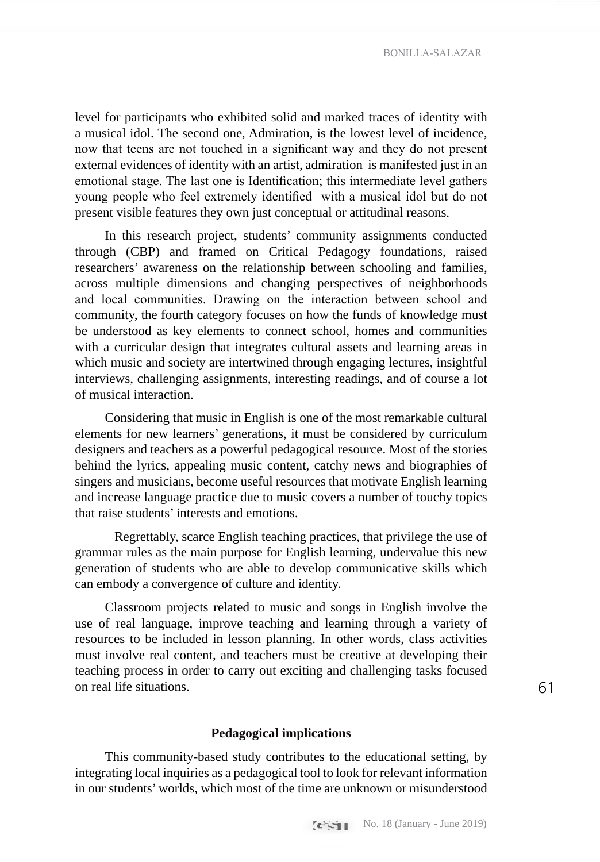BONILLA-SALAZAR

level for participants who exhibited solid and marked traces of identity with a musical idol. The second one, Admiration, is the lowest level of incidence, now that teens are not touched in a significant way and they do not present external evidences of identity with an artist, admiration is manifested just in an emotional stage. The last one is Identification; this intermediate level gathers young people who feel extremely identified with a musical idol but do not present visible features they own just conceptual or attitudinal reasons.

In this research project, students' community assignments conducted through (CBP) and framed on Critical Pedagogy foundations, raised researchers' awareness on the relationship between schooling and families, across multiple dimensions and changing perspectives of neighborhoods and local communities. Drawing on the interaction between school and community, the fourth category focuses on how the funds of knowledge must be understood as key elements to connect school, homes and communities with a curricular design that integrates cultural assets and learning areas in which music and society are intertwined through engaging lectures, insightful interviews, challenging assignments, interesting readings, and of course a lot of musical interaction.

Considering that music in English is one of the most remarkable cultural elements for new learners' generations, it must be considered by curriculum designers and teachers as a powerful pedagogical resource. Most of the stories behind the lyrics, appealing music content, catchy news and biographies of singers and musicians, become useful resources that motivate English learning and increase language practice due to music covers a number of touchy topics that raise students' interests and emotions.

 Regrettably, scarce English teaching practices, that privilege the use of grammar rules as the main purpose for English learning, undervalue this new generation of students who are able to develop communicative skills which can embody a convergence of culture and identity.

Classroom projects related to music and songs in English involve the use of real language, improve teaching and learning through a variety of resources to be included in lesson planning. In other words, class activities must involve real content, and teachers must be creative at developing their teaching process in order to carry out exciting and challenging tasks focused on real life situations.

### 61

### **Pedagogical implications**

This community-based study contributes to the educational setting, by integrating local inquiries as a pedagogical tool to look for relevant information in our students' worlds, which most of the time are unknown or misunderstood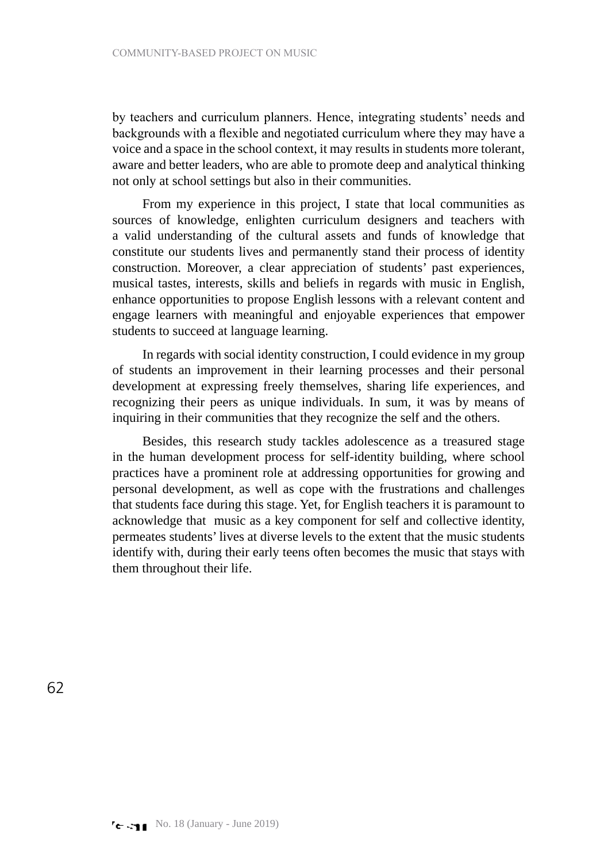by teachers and curriculum planners. Hence, integrating students' needs and backgrounds with a flexible and negotiated curriculum where they may have a voice and a space in the school context, it may results in students more tolerant, aware and better leaders, who are able to promote deep and analytical thinking not only at school settings but also in their communities.

From my experience in this project, I state that local communities as sources of knowledge, enlighten curriculum designers and teachers with a valid understanding of the cultural assets and funds of knowledge that constitute our students lives and permanently stand their process of identity construction. Moreover, a clear appreciation of students' past experiences, musical tastes, interests, skills and beliefs in regards with music in English, enhance opportunities to propose English lessons with a relevant content and engage learners with meaningful and enjoyable experiences that empower students to succeed at language learning.

In regards with social identity construction, I could evidence in my group of students an improvement in their learning processes and their personal development at expressing freely themselves, sharing life experiences, and recognizing their peers as unique individuals. In sum, it was by means of inquiring in their communities that they recognize the self and the others.

Besides, this research study tackles adolescence as a treasured stage in the human development process for self-identity building, where school practices have a prominent role at addressing opportunities for growing and personal development, as well as cope with the frustrations and challenges that students face during this stage. Yet, for English teachers it is paramount to acknowledge that music as a key component for self and collective identity, permeates students' lives at diverse levels to the extent that the music students identify with, during their early teens often becomes the music that stays with them throughout their life.

62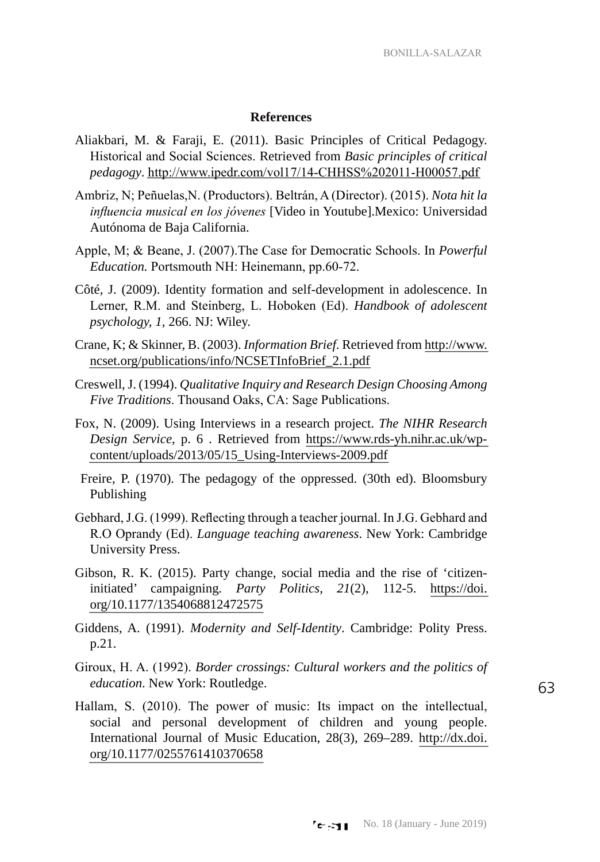### **References**

- Aliakbari, M. & Faraji, E. (2011). Basic Principles of Critical Pedagogy. Historical and Social Sciences. Retrieved from *Basic principles of critical pedagogy*. <http://www.ipedr.com/vol17/14-CHHSS%202011-H00057.pdf>
- Ambriz, N; Peñuelas,N. (Productors). Beltrán, A (Director). (2015). *Nota hit la influencia musical en los jóvenes* [Video in Youtube].Mexico: Universidad Autónoma de Baja California.
- Apple, M; & Beane, J. (2007).The Case for Democratic Schools. In *Powerful Education.* Portsmouth NH: Heinemann, pp.60-72.
- Côté, J. (2009). Identity formation and self-development in adolescence. In Lerner, R.M. and Steinberg, L. Hoboken (Ed). *Handbook of adolescent psychology, 1*, 266. NJ: Wiley.
- Crane, K; & Skinner, B. (2003). *Information Brief*. Retrieved from [http://www.](http://www.ncset.org/publications/info/NCSETInfoBrief_2.1.pdf) [ncset.org/publications/info/NCSETInfoBrief\\_2.1.pdf](http://www.ncset.org/publications/info/NCSETInfoBrief_2.1.pdf)
- Creswell, J. (1994). *Qualitative Inquiry and Research Design Choosing Among Five Traditions*. Thousand Oaks, CA: Sage Publications.
- Fox, N. (2009). Using Interviews in a research project. *The NIHR Research Design Service*, p. 6 . Retrieved from [https://www.rds-yh.nihr.ac.uk/wp](https://www.rds-yh.nihr.ac.uk/wp-content/uploads/2013/05/15_Using-Interviews-2009.pdf)[content/uploads/2013/05/15\\_Using-Interviews-2009.pdf](https://www.rds-yh.nihr.ac.uk/wp-content/uploads/2013/05/15_Using-Interviews-2009.pdf)
- Freire, P. (1970). The pedagogy of the oppressed. (30th ed). Bloomsbury Publishing
- Gebhard, J.G. (1999). Reflecting through a teacher journal. In J.G. Gebhard and R.O Oprandy (Ed). *Language teaching awareness*. New York: Cambridge University Press.
- Gibson, R. K. (2015). Party change, social media and the rise of 'citizeninitiated' campaigning*. Party Politics*, *21*(2), 112-5. [https://doi.](https://doi.org/10.1177/1354068812472575) [org/10.1177/1354068812472575](https://doi.org/10.1177/1354068812472575)
- Giddens, A. (1991). *Modernity and Self-Identity*. Cambridge: Polity Press. p.21.
- Giroux, H. A. (1992). *Border crossings: Cultural workers and the politics of education*. New York: Routledge.
- Hallam, S. (2010). The power of music: Its impact on the intellectual, social and personal development of children and young people. International Journal of Music Education, 28(3), 269–289. [http://dx.doi.](https://psycnet.apa.org/doi/10.1177/0255761410370658) [org/10.1177/0255761410370658](https://psycnet.apa.org/doi/10.1177/0255761410370658)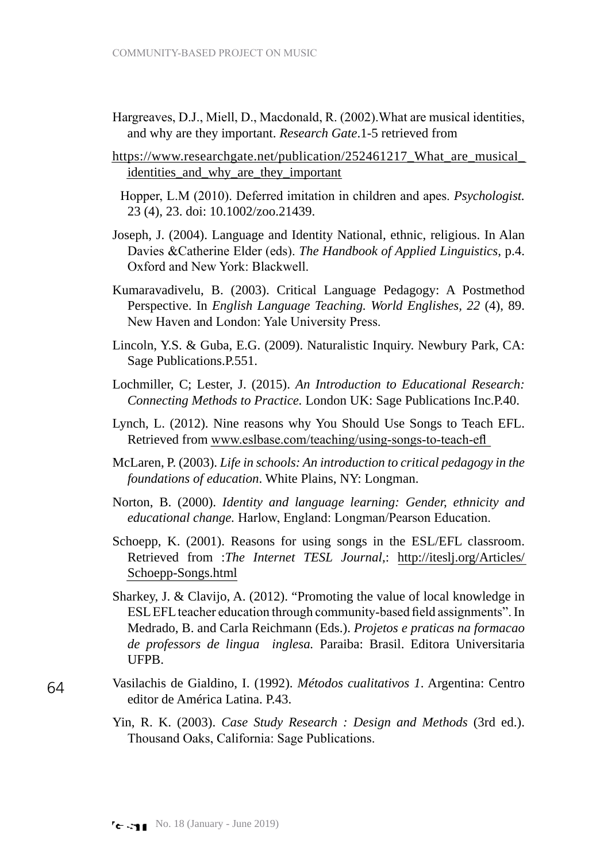- Hargreaves, D.J., Miell, D., Macdonald, R. (2002).What are musical identities, and why are they important. *Research Gate*.1-5 retrieved from
- https://www.researchgate.net/publication/252461217 What are musical identities and why are they important

 Hopper, L.M (2010). Deferred imitation in children and apes. *Psychologist.* 23 (4), 23. doi: 10.1002/zoo.21439.

- Joseph, J. (2004). Language and Identity National, ethnic, religious. In Alan Davies &Catherine Elder (eds). *The Handbook of Applied Linguistics*, p.4. Oxford and New York: Blackwell.
- Kumaravadivelu, B. (2003). Critical Language Pedagogy: A Postmethod Perspective. In *English Language Teaching. World Englishes, 22* (4), 89. New Haven and London: Yale University Press.
- Lincoln, Y.S. & Guba, E.G. (2009). Naturalistic Inquiry. Newbury Park, CA: Sage Publications.P.551.
- Lochmiller, C; Lester, J. (2015). *An Introduction to Educational Research: Connecting Methods to Practice.* London UK: Sage Publications Inc.P.40.
- Lynch, L. (2012). Nine reasons why You Should Use Songs to Teach EFL. Retrieved from [www.eslbase.com/teaching/using-songs-to-teach-efl](http://www.eslbase.com/teaching/using-songs-to-teach-efl)
- McLaren, P. (2003). *Life in schools: An introduction to critical pedagogy in the foundations of education*. White Plains, NY: Longman.
- Norton, B. (2000). *Identity and language learning: Gender, ethnicity and educational change.* Harlow, England: Longman/Pearson Education.
- Schoepp, K. (2001). Reasons for using songs in the ESL/EFL classroom. Retrieved from :*The Internet TESL Journal*,: [http://iteslj.org/Articles/](http://iteslj.org/Articles/Schoepp-Songs.html) [Schoepp-Songs.html](http://iteslj.org/Articles/Schoepp-Songs.html)
- Sharkey, J. & Clavijo, A. (2012). "Promoting the value of local knowledge in ESL EFL teacher education through community-based field assignments". In Medrado, B. and Carla Reichmann (Eds.). *Projetos e praticas na formacao de professors de lingua inglesa.* Paraiba: Brasil. Editora Universitaria UFPB.
- Vasilachis de Gialdino, I. (1992). *Métodos cualitativos 1*. Argentina: Centro editor de América Latina. P.43.
	- Yin, R. K. (2003). *Case Study Research : Design and Methods* (3rd ed.). Thousand Oaks, California: Sage Publications.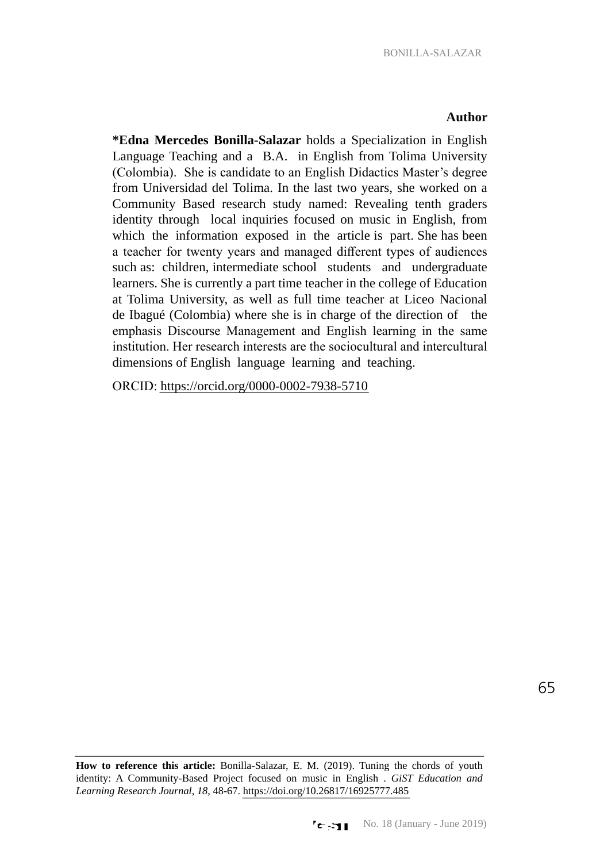### **Author**

**\*Edna Mercedes Bonilla-Salazar** holds a Specialization in English Language Teaching and a B.A. in English from Tolima University (Colombia). She is candidate to an English Didactics Master's degree from Universidad del Tolima. In the last two years, she worked on a Community Based research study named: Revealing tenth graders identity through local inquiries focused on music in English, from which the information exposed in the article is part. She has been a teacher for twenty years and managed different types of audiences such as: children, intermediate school students and undergraduate learners. She is currently a part time teacher in the college of Education at Tolima University, as well as full time teacher at Liceo Nacional de Ibagué (Colombia) where she is in charge of the direction of the emphasis Discourse Management and English learning in the same institution. Her research interests are the sociocultural and intercultural dimensions of English language learning and teaching.

ORCID: <https://orcid.org/0000-0002-7938-5710>

**How to reference this article:** Bonilla-Salazar, E. M. (2019). Tuning the chords of youth identity: A Community-Based Project focused on music in English . *GiST Education and Learning Research Journal*, *18*, 48-67. <https://doi.org/10.26817/16925777.485>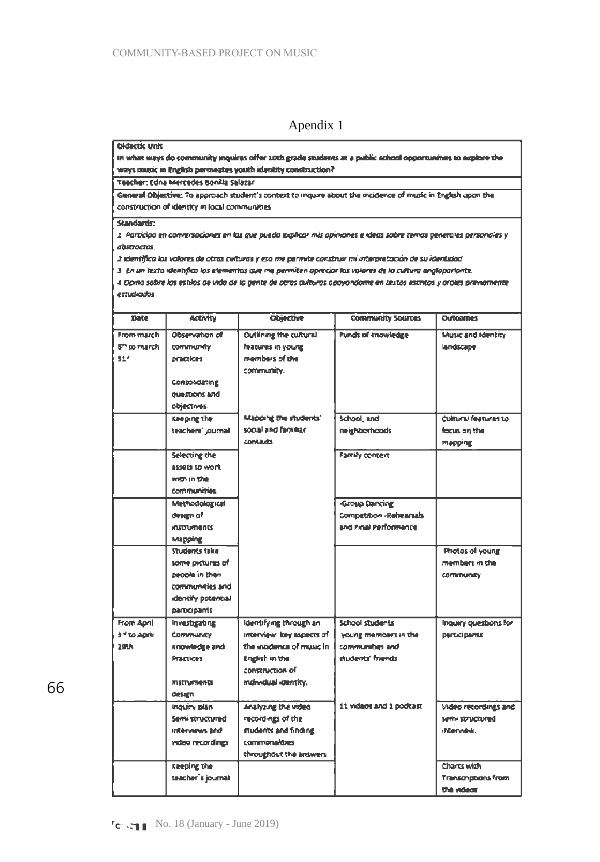### Apendix 1

**Didactic Unit** 

In what ways do community inquires offer 10th grade students at a public school opportunities to explore the ways music in English permeates youth identity construction?

Teacher: Edna Mercedes Bonilla Salazar

General Objective: To approach student's context to inquire about the incidence of music in English upon the construction of identity in local communities

#### **Stancads:**

1. Participo en conversaciones en las que pueda explicar mis opinanes e idéas sobre terras generales personales y abstractos.

2 IMririf,co los ..,,.,,,. dr omu cvltwa< y rso *tM* permttt cor:Sffllir *mi in'.npr,':DOOff a.* su i<:rntidcd

J. En un texto idemifica los elementos que ma permiten opreciar los valores de la cultura anglopariante.

*4-0p,M* ~ m nnlos *d• vldo d•* Jo *g,nr.* I# ouos cvlruros OP<J'IOnd«n• ,,, 1v.1°' ffCD(qs *J* orolu *pr,v,otMnr, nwd,cdos* 

| Date               | <b>Activity</b>       | <b>Objective</b>          | <b>Community Sources</b>  | Outcomes                   |
|--------------------|-----------------------|---------------------------|---------------------------|----------------------------|
| From march         | Observation of        | Outlining the cultural    | <b>Punds of knowledge</b> | Music and Identity         |
| <b>5" to march</b> | community.            | <b>Features in young</b>  |                           | landscape                  |
| 514                | <b>DIRECTIONS</b>     | members of the            |                           |                            |
|                    |                       | community.                |                           |                            |
|                    | Consolidating         |                           |                           |                            |
|                    | bits znomeup          |                           |                           |                            |
|                    | objectives.           |                           |                           |                            |
|                    | Keeping the           | Mapping the students'     | School, and               | Cultural features to       |
|                    | teachers' journal     | social and familiar.      | neighborhoods             | focus on the               |
|                    |                       | <b>Contacts</b>           |                           | mapping                    |
|                    | Selecting the         |                           | Family context            |                            |
|                    | how at ideas          |                           |                           |                            |
|                    | with in the           |                           |                           |                            |
|                    | <b>communities</b>    |                           |                           |                            |
|                    | Methodological        |                           | <b>Group Dancing</b>      |                            |
|                    | desam of              |                           | Competition - Reheartals  |                            |
|                    | <b>INTO UTTER ISS</b> |                           | and Final Performance     |                            |
|                    | Mapping               |                           |                           |                            |
|                    | Students take         |                           |                           | Photos of young            |
|                    | some oxitures of      |                           |                           | members in the             |
|                    | people in their       |                           |                           | <b>COMMUNITY</b>           |
|                    | communities and       |                           |                           |                            |
|                    | identify potential    |                           |                           |                            |
|                    | parocipants           |                           |                           |                            |
| From April         | Investigating         | Identifying through an    | <b>School students</b>    | Inquiry questions for      |
| ingA of *E         | <b>Community</b>      | interview losy aspects of | young members in the      | Derticipants               |
| 29th               | Knowledge and         | the inadence of music in  | communities and           |                            |
|                    | <b>Practices</b>      | English in the            | mudents' friends          |                            |
|                    |                       | construction of           |                           |                            |
|                    | <b>Instruments</b>    | individual dentity.       |                           |                            |
|                    | design                |                           |                           |                            |
|                    | Inquiry plan          | Analyzing the video       | 11 videos and 1 podrast   | Video recordings and       |
|                    | Semi structured       | recordings of the         |                           | <b>Deturnations</b>        |
|                    | interviews and        | mudents and finding       |                           | shtervidnis.               |
|                    | video recordings      | commonalities             |                           |                            |
|                    |                       | throughout the answers    |                           |                            |
|                    | Keeping the           |                           |                           | Charts with                |
|                    | teacher's journal     |                           |                           | <b>Transcriptions from</b> |
|                    |                       |                           |                           | the velace                 |

66